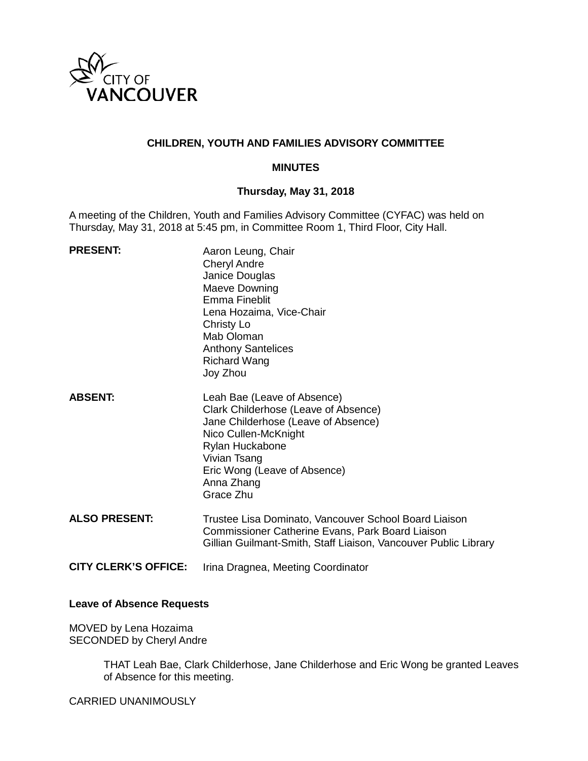

## **CHILDREN, YOUTH AND FAMILIES ADVISORY COMMITTEE**

### **MINUTES**

## **Thursday, May 31, 2018**

A meeting of the Children, Youth and Families Advisory Committee (CYFAC) was held on Thursday, May 31, 2018 at 5:45 pm, in Committee Room 1, Third Floor, City Hall.

| <b>PRESENT:</b>             | Aaron Leung, Chair<br><b>Cheryl Andre</b><br>Janice Douglas<br>Maeve Downing<br>Emma Fineblit<br>Lena Hozaima, Vice-Chair<br>Christy Lo<br>Mab Oloman<br><b>Anthony Santelices</b><br><b>Richard Wang</b><br>Joy Zhou            |
|-----------------------------|----------------------------------------------------------------------------------------------------------------------------------------------------------------------------------------------------------------------------------|
| <b>ABSENT:</b>              | Leah Bae (Leave of Absence)<br>Clark Childerhose (Leave of Absence)<br>Jane Childerhose (Leave of Absence)<br>Nico Cullen-McKnight<br>Rylan Huckabone<br>Vivian Tsang<br>Eric Wong (Leave of Absence)<br>Anna Zhang<br>Grace Zhu |
| <b>ALSO PRESENT:</b>        | Trustee Lisa Dominato, Vancouver School Board Liaison<br>Commissioner Catherine Evans, Park Board Liaison<br>Gillian Guilmant-Smith, Staff Liaison, Vancouver Public Library                                                     |
| <b>CITY CLERK'S OFFICE:</b> | Irina Dragnea, Meeting Coordinator                                                                                                                                                                                               |

## **Leave of Absence Requests**

MOVED by Lena Hozaima SECONDED by Cheryl Andre

> THAT Leah Bae, Clark Childerhose, Jane Childerhose and Eric Wong be granted Leaves of Absence for this meeting.

CARRIED UNANIMOUSLY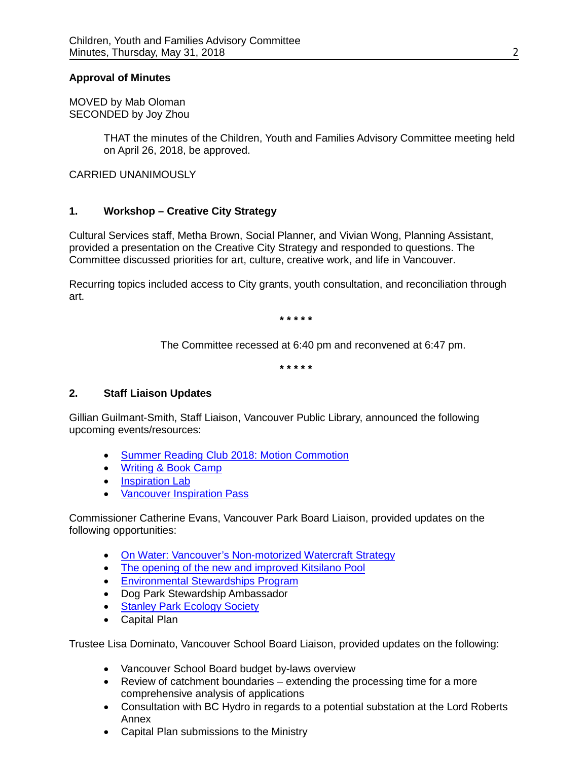### **Approval of Minutes**

MOVED by Mab Oloman SECONDED by Joy Zhou

> THAT the minutes of the Children, Youth and Families Advisory Committee meeting held on April 26, 2018, be approved.

CARRIED UNANIMOUSLY

# **1. Workshop – Creative City Strategy**

Cultural Services staff, Metha Brown, Social Planner, and Vivian Wong, Planning Assistant, provided a presentation on the Creative City Strategy and responded to questions. The Committee discussed priorities for art, culture, creative work, and life in Vancouver.

Recurring topics included access to City grants, youth consultation, and reconciliation through art.

**\* \* \* \* \***

The Committee recessed at 6:40 pm and reconvened at 6:47 pm.

**\* \* \* \* \***

### **2. Staff Liaison Updates**

Gillian Guilmant-Smith, Staff Liaison, Vancouver Public Library, announced the following upcoming events/resources:

- [Summer Reading Club 2018: Motion Commotion](http://www.vpl.ca/summerreading)
- [Writing & Book Camp](https://www.vpl.ca/bookcamp)
- [Inspiration Lab](https://www.vpl.ca/inspirationlab)
- [Vancouver Inspiration Pass](http://pwp.vpl.ca/inspirationpass/)

Commissioner Catherine Evans, Vancouver Park Board Liaison, provided updates on the following opportunities:

- [On Water: Vancouver's Non-motorized Watercraft Strategy](http://vancouver.ca/parks-recreation-culture/on-water-waterway-recreation-strategy.aspx)
- [The opening of the new and improved Kitsilano Pool](http://vancouver.ca/parks-recreation-culture/kitsilano-pool.aspx)
- [Environmental Stewardships Program](http://vancouver.ca/parks-recreation-culture/education-and-stewardship.aspx)
- Dog Park Stewardship Ambassador
- [Stanley Park Ecology Society](http://stanleyparkecology.ca/)
- Capital Plan

Trustee Lisa Dominato, Vancouver School Board Liaison, provided updates on the following:

- Vancouver School Board budget by-laws overview
- Review of catchment boundaries extending the processing time for a more comprehensive analysis of applications
- Consultation with BC Hydro in regards to a potential substation at the Lord Roberts Annex
- Capital Plan submissions to the Ministry